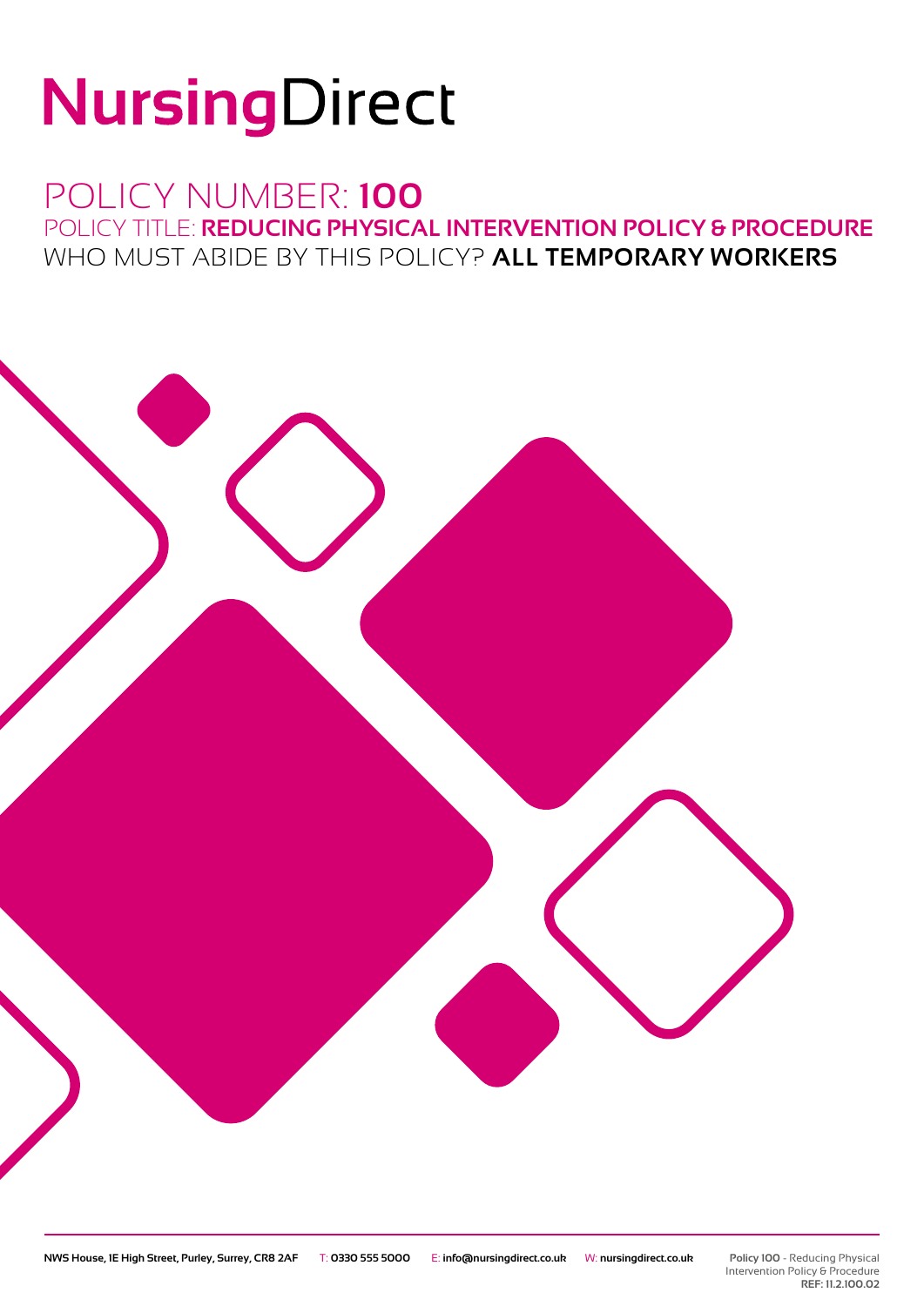# NursingDirect

# POLICY NUMBER: **100**

POLICY TITLE: **REDUCING PHYSICAL INTERVENTION POLICY & PROCEDURE** WHO MUST ABIDE BY THIS POLICY? **ALL TEMPORARY WORKERS**

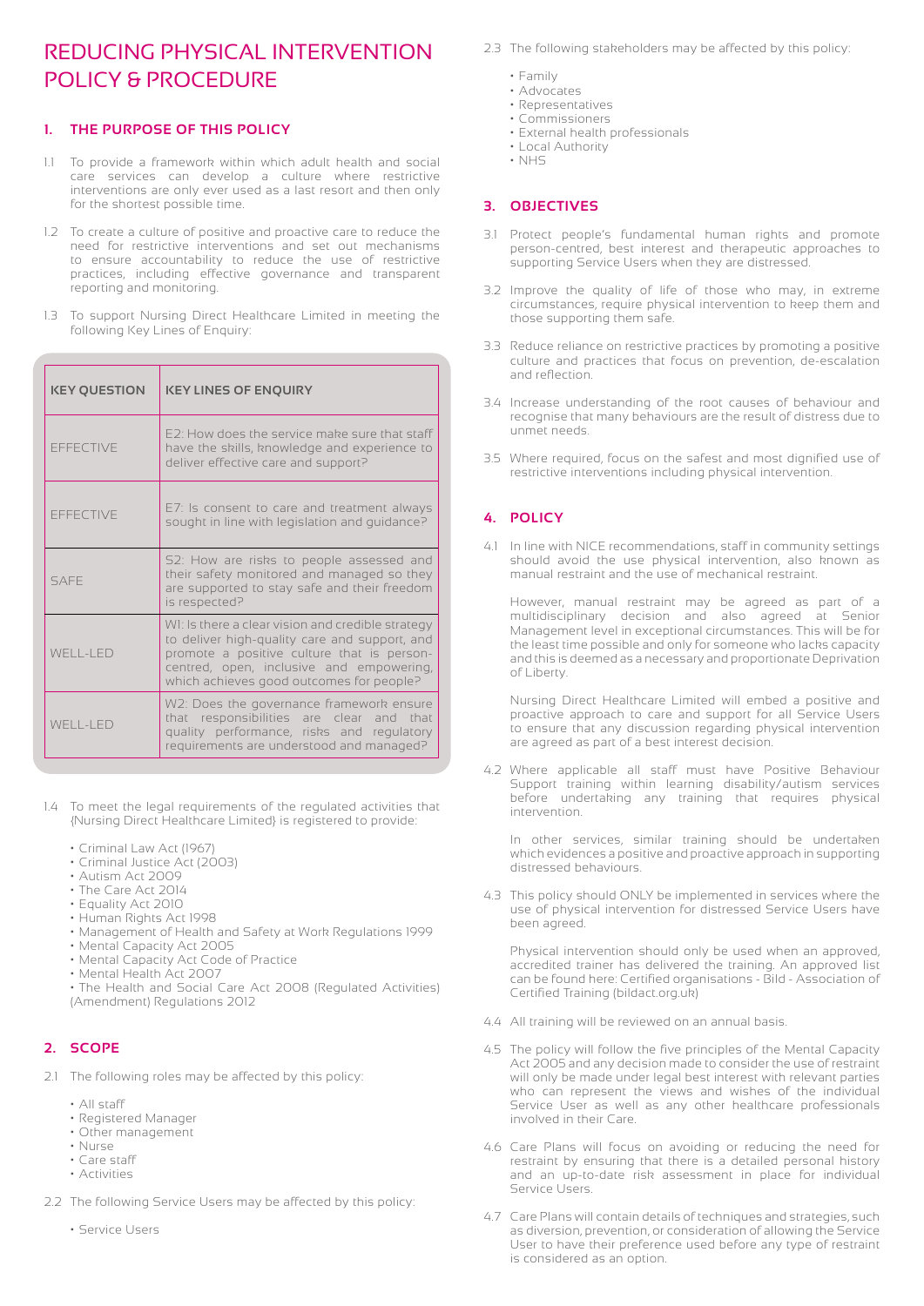# REDUCING PHYSICAL INTERVENTION POLICY & PROCEDURE

# **1. THE PURPOSE OF THIS POLICY**

- 1.1 To provide a framework within which adult health and social care services can develop a culture where restrictive interventions are only ever used as a last resort and then only for the shortest possible time.
- 1.2 To create a culture of positive and proactive care to reduce the need for restrictive interventions and set out mechanisms to ensure accountability to reduce the use of restrictive practices, including effective governance and transparent reporting and monitoring.
- 1.3 To support Nursing Direct Healthcare Limited in meeting the following Key Lines of Enquiry:

| <b>KEY QUESTION</b>                                                                                                                                                                             | <b>KEY LINES OF ENQUIRY</b>                                                                                                                                                                                                              |  |  |
|-------------------------------------------------------------------------------------------------------------------------------------------------------------------------------------------------|------------------------------------------------------------------------------------------------------------------------------------------------------------------------------------------------------------------------------------------|--|--|
| <b>FFFFCTIVE</b>                                                                                                                                                                                | F2: How does the service make sure that staff<br>have the skills, knowledge and experience to<br>deliver effective care and support?                                                                                                     |  |  |
| <b>FFFFCTIVE</b>                                                                                                                                                                                | E7: Is consent to care and treatment always<br>sought in line with legislation and guidance?                                                                                                                                             |  |  |
| SAFF                                                                                                                                                                                            | S2: How are risks to people assessed and<br>their safety monitored and managed so they<br>are supported to stay safe and their freedom<br>is respected?                                                                                  |  |  |
| WFII-IFD                                                                                                                                                                                        | WI: Is there a clear vision and credible strategy<br>to deliver high-quality care and support, and<br>promote a positive culture that is person-<br>centred, open, inclusive and empowering,<br>which achieves good outcomes for people? |  |  |
| W2: Does the governance framework ensure<br>that responsibilities are clear and that<br>$WFI I - I FD$<br>quality performance, risks and regulatory<br>requirements are understood and managed? |                                                                                                                                                                                                                                          |  |  |

- 1.4 To meet the legal requirements of the regulated activities that {Nursing Direct Healthcare Limited} is registered to provide:
	- Criminal Law Act (1967)
	- Criminal Justice Act (2003)
	- Autism Act 2009
	- The Care Act 2014
	- Equality Act 2010
	- Human Rights Act 1998
	- Management of Health and Safety at Work Regulations 1999
	- Mental Capacity Act 2005
	- Mental Capacity Act Code of Practice
	- Mental Health Act 2007
	- The Health and Social Care Act 2008 (Regulated Activities) (Amendment) Regulations 2012

# **2. SCOPE**

- 2.1 The following roles may be affected by this policy:
	- All staff
	- Registered Manager
	- Other management
	- Nurse
	- Care staff • Activities
- 2.2 The following Service Users may be affected by this policy:
	- Service Users
- 2.3 The following stakeholders may be affected by this policy:
	- Family
	- Advocates
	- Representatives
	- Commissioners
	- External health professionals • Local Authority
	- NHS

# **3. OBJECTIVES**

- 3.1 Protect people's fundamental human rights and promote person-centred, best interest and therapeutic approaches to supporting Service Users when they are distressed.
- 3.2 Improve the quality of life of those who may, in extreme circumstances, require physical intervention to keep them and those supporting them safe.
- 3.3 Reduce reliance on restrictive practices by promoting a positive culture and practices that focus on prevention, de-escalation and reflection.
- 3.4 Increase understanding of the root causes of behaviour and recognise that many behaviours are the result of distress due to unmet needs.
- 3.5 Where required, focus on the safest and most dignified use of restrictive interventions including physical intervention.

# **4. POLICY**

4.1 In line with NICE recommendations, staff in community settings should avoid the use physical intervention, also known as manual restraint and the use of mechanical restraint.

 However, manual restraint may be agreed as part of a multidisciplinary decision and also agreed at Senior Management level in exceptional circumstances. This will be for the least time possible and only for someone who lacks capacity and this is deemed as a necessary and proportionate Deprivation of Liberty.

 Nursing Direct Healthcare Limited will embed a positive and proactive approach to care and support for all Service Users to ensure that any discussion regarding physical intervention are agreed as part of a best interest decision.

4.2 Where applicable all staff must have Positive Behaviour Support training within learning disability/autism services before undertaking any training that requires physical intervention.

 In other services, similar training should be undertaken which evidences a positive and proactive approach in supporting distressed behaviours.

4.3 This policy should ONLY be implemented in services where the use of physical intervention for distressed Service Users have been agreed.

 Physical intervention should only be used when an approved, accredited trainer has delivered the training. An approved list can be found here: Certified organisations - Bild - Association of Certified Training (bildact.org.uk)

- 4.4 All training will be reviewed on an annual basis.
- 4.5 The policy will follow the five principles of the Mental Capacity Act 2005 and any decision made to consider the use of restraint will only be made under legal best interest with relevant parties who can represent the views and wishes of the individual Service User as well as any other healthcare professionals involved in their Care.
- 4.6 Care Plans will focus on avoiding or reducing the need for restraint by ensuring that there is a detailed personal history and an up-to-date risk assessment in place for individual Service Users.
- 4.7 Care Plans will contain details of techniques and strategies, such as diversion, prevention, or consideration of allowing the Service User to have their preference used before any type of restraint is considered as an option.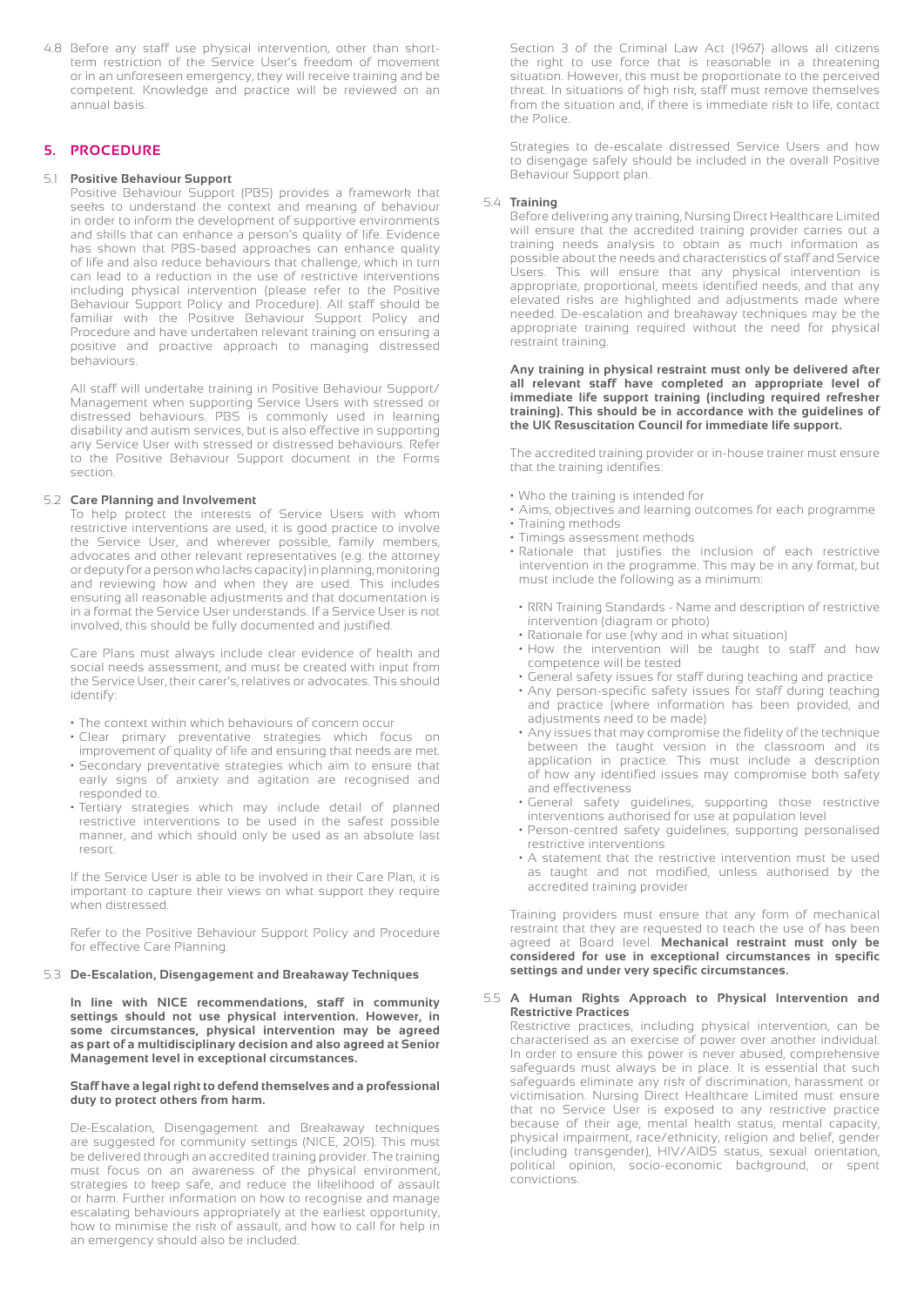4.8 Before any staff use physical intervention, other than short term restriction of the Service User's freedom of movement or in an unforeseen emergency, they will receive training and be competent. Knowledge and practice will be reviewed on an annual basis.

### **5. PROCEDURE**

#### 5.1 **Positive Behaviour Support**

 Positive Behaviour Support (PBS) provides a framework that seeks to understand the context and meaning of behaviour in order to inform the development of supportive environments and skills that can enhance a person's quality of life. Evidence has shown that PBS-based approaches can enhance quality of life and also reduce behaviours that challenge, which in turn can lead to a reduction in the use of restrictive interventions including physical intervention (please refer to the Positive Behaviour Support Policy and Procedure). All staff should be familiar with the Positive Behaviour Support Policy and Procedure and have undertaken relevant training on ensuring a positive and proactive approach to managing distressed behaviours.

 All staff will undertake training in Positive Behaviour Support/ Management when supporting Service Users with stressed or distressed behaviours. PBS is commonly used in learning disability and autism services, but is also effective in supporting any Service User with stressed or distressed behaviours. Refer to the Positive Behaviour Support document in the Forms section.

#### 5.2 **Care Planning and Involvement**

 To help protect the interests of Service Users with whom restrictive interventions are used, it is good practice to involve the Service User, and wherever possible, family members, advocates and other relevant representatives (e.g. the attorney or deputy for a person who lacks capacity) in planning, monitoring and reviewing how and when they are used. This includes ensuring all reasonable adjustments and that documentation is in a format the Service User understands. If a Service User is not involved, this should be fully documented and justified.

 Care Plans must always include clear evidence of health and social needs assessment, and must be created with input from the Service User, their carer's, relatives or advocates. This should identify:

- The context within which behaviours of concern occur
- Clear primary preventative strategies which focus on improvement of quality of life and ensuring that needs are met.
- Secondary preventative strategies which aim to ensure that early signs of anxiety and agitation are recognised and responded to.
- Tertiary strategies which may include detail of planned restrictive interventions to be used in the safest possible manner, and which should only be used as an absolute last resort.

 If the Service User is able to be involved in their Care Plan, it is important to capture their views on what support they require when distressed.

 Refer to the Positive Behaviour Support Policy and Procedure for effective Care Planning.

#### 5.3 **De-Escalation, Disengagement and Breakaway Techniques**

 **In line with NICE recommendations, staff in community settings should not use physical intervention. However, in some circumstances, physical intervention may be agreed as part of a multidisciplinary decision and also agreed at Senior Management level in exceptional circumstances.**

#### **Staff have a legal right to defend themselves and a professional duty to protect others from harm.**

 De-Escalation, Disengagement and Breakaway techniques are suggested for community settings (NICE, 2015). This must be delivered through an accredited training provider. The training must focus on an awareness of the physical environment, strategies to keep safe, and reduce the likelihood of assault or harm. Further information on how to recognise and manage escalating behaviours appropriately at the earliest opportunity, how to minimise the risk of assault, and how to call for help in an emergency should also be included.

 Section 3 of the Criminal Law Act (1967) allows all citizens the right to use force that is reasonable in a threatening situation. However, this must be proportionate to the perceived threat. In situations of high risk, staff must remove themselves from the situation and, if there is immediate risk to life, contact the Police.

 Strategies to de-escalate distressed Service Users and how to disengage safely should be included in the overall Positive Behaviour Support plan.

#### 5.4 **Training**

 Before delivering any training, Nursing Direct Healthcare Limited will ensure that the accredited training provider carries out a training needs analysis to obtain as much information as possible about the needs and characteristics of staff and Service Users. This will ensure that any physical intervention is appropriate, proportional, meets identified needs, and that any elevated risks are highlighted and adjustments made where needed. De-escalation and breakaway techniques may be the appropriate training required without the need for physical restraint training.

#### **Any training in physical restraint must only be delivered after all relevant staff have completed an appropriate level of immediate life support training (including required refresher training). This should be in accordance with the guidelines of the UK Resuscitation Council for immediate life support.**

 The accredited training provider or in-house trainer must ensure that the training identifies:

- Who the training is intended for
- Aims, objectives and learning outcomes for each programme
- Training methods
- Timings assessment methods
- Rationale that justifies the inclusion of each restrictive intervention in the programme. This may be in any format, but must include the following as a minimum:
- RRN Training Standards Name and description of restrictive intervention (diagram or photo)
- Rationale for use (why and in what situation)
- How the intervention will be taught to staff and how competence will be tested
- General safety issues for staff during teaching and practice • Any person-specific safety issues for staff during teaching
- and practice (where information has been provided, and adjustments need to be made)
- Any issues that may compromise the fidelity of the technique between the taught version in the classroom and its application in practice. This must include a description of how any identified issues may compromise both safety and effectiveness
- General safety guidelines, supporting those restrictive interventions authorised for use at population level
	- Person-centred safety guidelines, supporting personalised restrictive interventions
	- A statement that the restrictive intervention must be used as taught and not modified, unless authorised by the accredited training provider

 Training providers must ensure that any form of mechanical restraint that they are requested to teach the use of has been agreed at Board level. **Mechanical restraint must only be considered for use in exceptional circumstances in specific settings and under very specific circumstances.**

#### 5.5 **A Human Rights Approach to Physical Intervention and Restrictive Practices**

 Restrictive practices, including physical intervention, can be characterised as an exercise of power over another individual. In order to ensure this power is never abused, comprehensive safeguards must always be in place. It is essential that such safeguards eliminate any risk of discrimination, harassment or victimisation. Nursing Direct Healthcare Limited must ensure that no Service User is exposed to any restrictive practice because of their age, mental health status, mental capacity, physical impairment, race/ethnicity, religion and belief, gender (including transgender), HIV/AIDS status, sexual orientation, political opinion, socio-economic background, or spent convictions.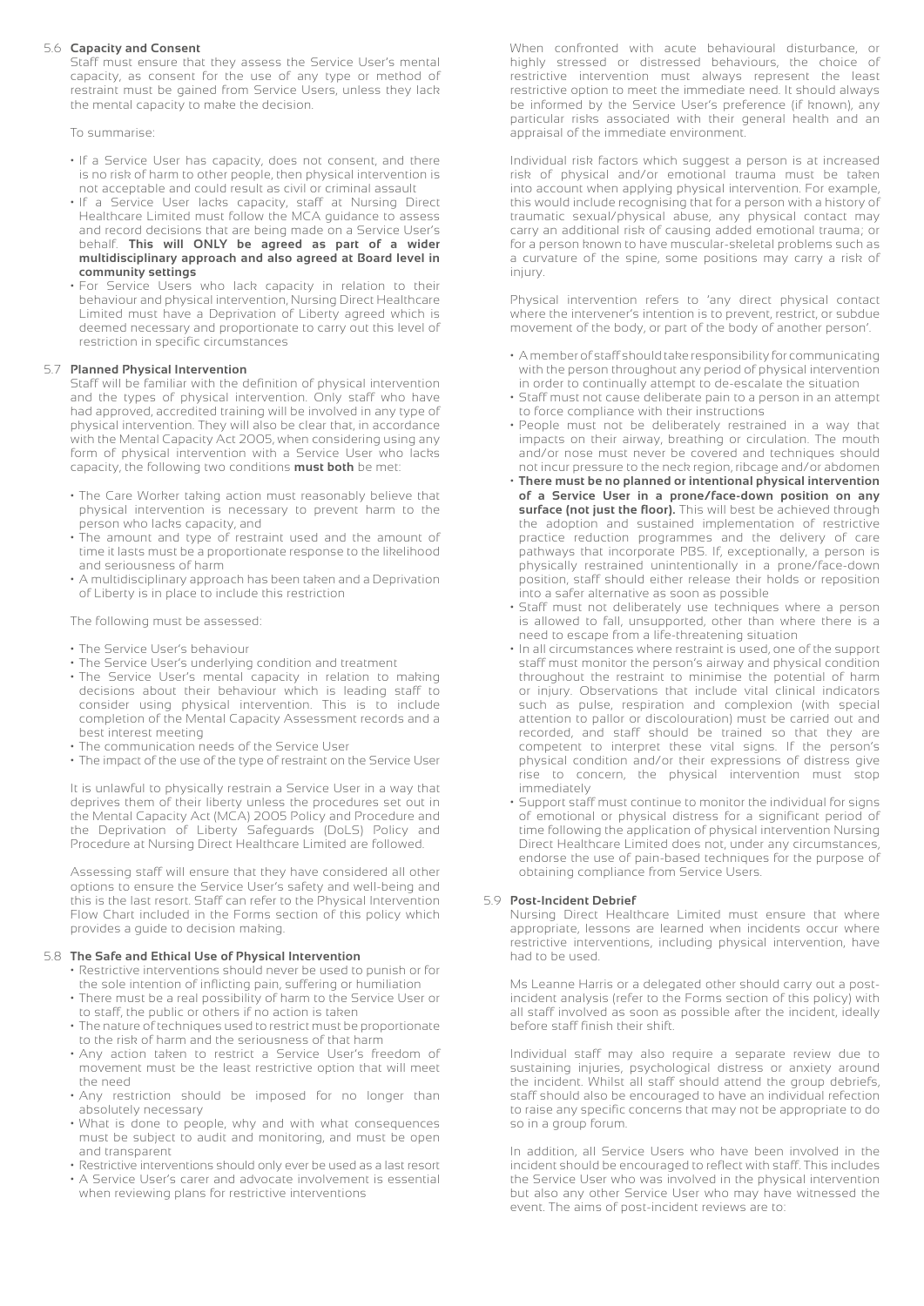#### 5.6 **Capacity and Consent**

 Staff must ensure that they assess the Service User's mental capacity, as consent for the use of any type or method of restraint must be gained from Service Users, unless they lack the mental capacity to make the decision.

To summarise:

- If a Service User has capacity, does not consent, and there is no risk of harm to other people, then physical intervention is not acceptable and could result as civil or criminal assault
- If a Service User lacks capacity, staff at Nursing Direct Healthcare Limited must follow the MCA guidance to assess and record decisions that are being made on a Service User's behalf. **This will ONLY be agreed as part of a wider multidisciplinary approach and also agreed at Board level in community settings**
	- For Service Users who lack capacity in relation to their behaviour and physical intervention, Nursing Direct Healthcare Limited must have a Deprivation of Liberty agreed which is deemed necessary and proportionate to carry out this level of restriction in specific circumstances

#### 5.7 **Planned Physical Intervention**

 Staff will be familiar with the definition of physical intervention and the types of physical intervention. Only staff who have had approved, accredited training will be involved in any type of physical intervention. They will also be clear that, in accordance with the Mental Capacity Act 2005, when considering using any form of physical intervention with a Service User who lacks capacity, the following two conditions **must both** be met:

- The Care Worker taking action must reasonably believe that physical intervention is necessary to prevent harm to the person who lacks capacity, and
- The amount and type of restraint used and the amount of time it lasts must be a proportionate response to the likelihood and seriousness of harm
- A multidisciplinary approach has been taken and a Deprivation of Liberty is in place to include this restriction

The following must be assessed:

- The Service User's behaviour
- The Service User's underlying condition and treatment
- The Service User's mental capacity in relation to making decisions about their behaviour which is leading staff to consider using physical intervention. This is to include completion of the Mental Capacity Assessment records and a best interest meeting
- The communication needs of the Service User
- The impact of the use of the type of restraint on the Service User

 It is unlawful to physically restrain a Service User in a way that deprives them of their liberty unless the procedures set out in the Mental Capacity Act (MCA) 2005 Policy and Procedure and the Deprivation of Liberty Safeguards (DoLS) Policy and Procedure at Nursing Direct Healthcare Limited are followed.

 Assessing staff will ensure that they have considered all other options to ensure the Service User's safety and well-being and this is the last resort. Staff can refer to the Physical Intervention Flow Chart included in the Forms section of this policy which provides a guide to decision making.

#### 5.8 **The Safe and Ethical Use of Physical Intervention**

- Restrictive interventions should never be used to punish or for the sole intention of inflicting pain, suffering or humiliation
- There must be a real possibility of harm to the Service User or to staff, the public or others if no action is taken
- The nature of techniques used to restrict must be proportionate to the risk of harm and the seriousness of that harm
- Any action taken to restrict a Service User's freedom of movement must be the least restrictive option that will meet the need
- Any restriction should be imposed for no longer than absolutely necessary
- What is done to people, why and with what consequences must be subject to audit and monitoring, and must be open and transparent
- Restrictive interventions should only ever be used as a last resort
- A Service User's carer and advocate involvement is essential when reviewing plans for restrictive interventions

 When confronted with acute behavioural disturbance, or highly stressed or distressed behaviours, the choice of restrictive intervention must always represent the least restrictive option to meet the immediate need. It should always be informed by the Service User's preference (if known), any particular risks associated with their general health and an appraisal of the immediate environment.

 Individual risk factors which suggest a person is at increased risk of physical and/or emotional trauma must be taken into account when applying physical intervention. For example, this would include recognising that for a person with a history of traumatic sexual/physical abuse, any physical contact may carry an additional risk of causing added emotional trauma; or for a person known to have muscular-skeletal problems such as a curvature of the spine, some positions may carry a risk of injury.

 Physical intervention refers to 'any direct physical contact where the intervener's intention is to prevent, restrict, or subdue movement of the body, or part of the body of another person'.

- A member of staff should take responsibility for communicating with the person throughout any period of physical intervention in order to continually attempt to de-escalate the situation
- Staff must not cause deliberate pain to a person in an attempt to force compliance with their instructions
- People must not be deliberately restrained in a way that impacts on their airway, breathing or circulation. The mouth and/or nose must never be covered and techniques should not incur pressure to the neck region, ribcage and/or abdomen
- **There must be no planned or intentional physical intervention of a Service User in a prone/face-down position on any surface (not just the floor).** This will best be achieved through the adoption and sustained implementation of restrictive practice reduction programmes and the delivery of care pathways that incorporate PBS. If, exceptionally, a person is physically restrained unintentionally in a prone/face-down position, staff should either release their holds or reposition into a safer alternative as soon as possible
- Staff must not deliberately use techniques where a person is allowed to fall, unsupported, other than where there is a need to escape from a life-threatening situation
- In all circumstances where restraint is used, one of the support staff must monitor the person's airway and physical condition throughout the restraint to minimise the potential of harm or injury. Observations that include vital clinical indicators such as pulse, respiration and complexion (with special attention to pallor or discolouration) must be carried out and recorded, and staff should be trained so that they are competent to interpret these vital signs. If the person's physical condition and/or their expressions of distress give rise to concern, the physical intervention must stop immediately
- Support staff must continue to monitor the individual for signs of emotional or physical distress for a significant period of time following the application of physical intervention Nursing Direct Healthcare Limited does not, under any circumstances, endorse the use of pain-based techniques for the purpose of obtaining compliance from Service Users.

#### 5.9 **Post-Incident Debrief**

 Nursing Direct Healthcare Limited must ensure that where appropriate, lessons are learned when incidents occur where restrictive interventions, including physical intervention, have had to be used.

 Ms Leanne Harris or a delegated other should carry out a post incident analysis (refer to the Forms section of this policy) with all staff involved as soon as possible after the incident, ideally before staff finish their shift.

 Individual staff may also require a separate review due to sustaining injuries, psychological distress or anxiety around the incident. Whilst all staff should attend the group debriefs, staff should also be encouraged to have an individual refection to raise any specific concerns that may not be appropriate to do so in a group forum.

 In addition, all Service Users who have been involved in the incident should be encouraged to reflect with staff. This includes the Service User who was involved in the physical intervention but also any other Service User who may have witnessed the event. The aims of post-incident reviews are to: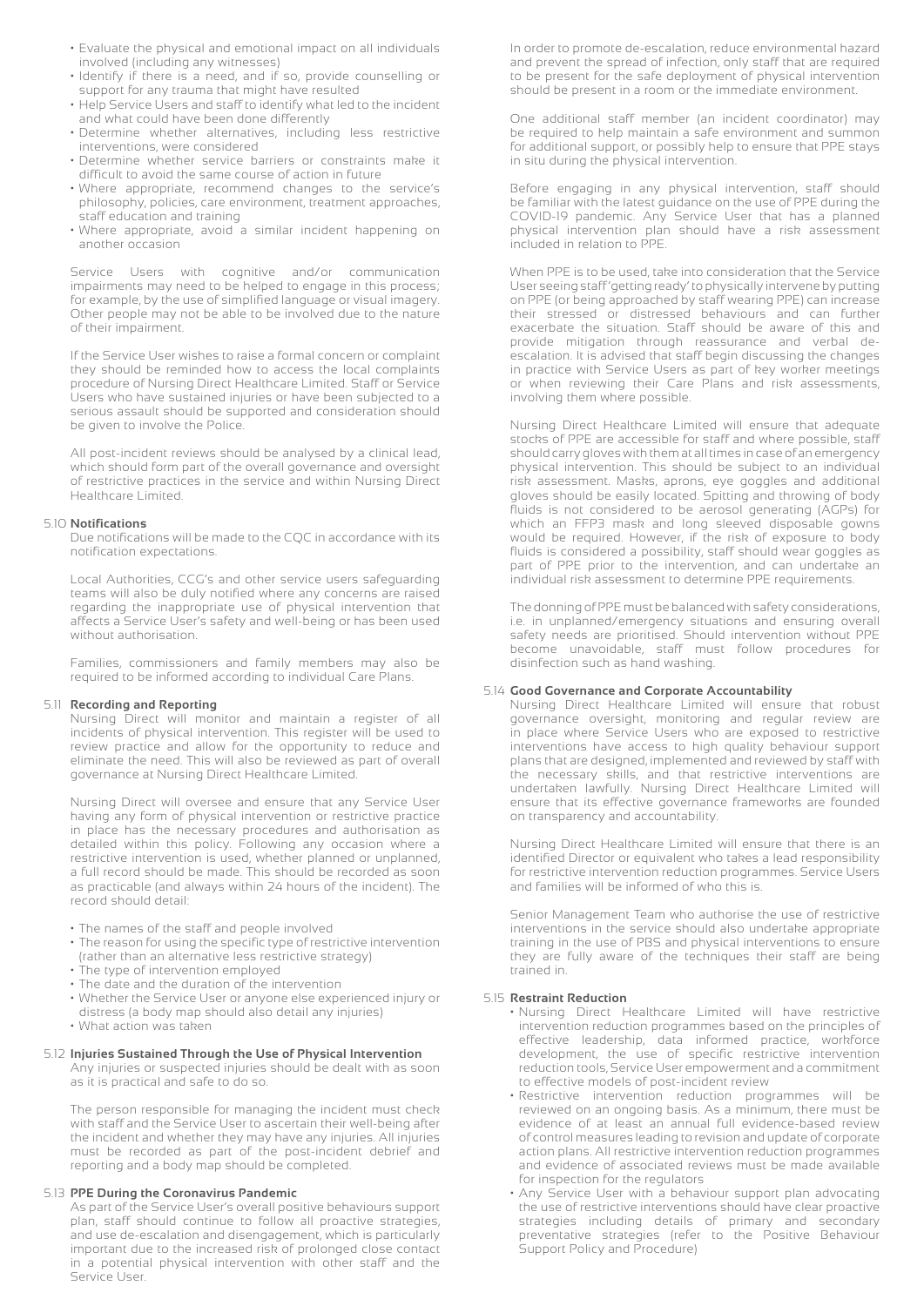- Evaluate the physical and emotional impact on all individuals involved (including any witnesses)
- Identify if there is a need, and if so, provide counselling or support for any trauma that might have resulted
- Help Service Users and staff to identify what led to the incident and what could have been done differently
- Determine whether alternatives, including less restrictive interventions, were considered
- Determine whether service barriers or constraints make it difficult to avoid the same course of action in future
- Where appropriate, recommend changes to the service's philosophy, policies, care environment, treatment approaches, staff education and training
- Where appropriate, avoid a similar incident happening on another occasion

 Service Users with cognitive and/or communication impairments may need to be helped to engage in this process; for example, by the use of simplified language or visual imagery. Other people may not be able to be involved due to the nature of their impairment.

 If the Service User wishes to raise a formal concern or complaint they should be reminded how to access the local complaints procedure of Nursing Direct Healthcare Limited. Staff or Service Users who have sustained injuries or have been subjected to a serious assault should be supported and consideration should be given to involve the Police.

 All post-incident reviews should be analysed by a clinical lead, which should form part of the overall governance and oversight of restrictive practices in the service and within Nursing Direct Healthcare Limited.

#### 5.10 **Notifications**

 Due notifications will be made to the CQC in accordance with its notification expectations.

 Local Authorities, CCG's and other service users safeguarding teams will also be duly notified where any concerns are raised regarding the inappropriate use of physical intervention that affects a Service User's safety and well-being or has been used without authorisation.

 Families, commissioners and family members may also be required to be informed according to individual Care Plans.

#### 5.11 **Recording and Reporting**

 Nursing Direct will monitor and maintain a register of all incidents of physical intervention. This register will be used to review practice and allow for the opportunity to reduce and eliminate the need. This will also be reviewed as part of overall governance at Nursing Direct Healthcare Limited.

 Nursing Direct will oversee and ensure that any Service User having any form of physical intervention or restrictive practice in place has the necessary procedures and authorisation as detailed within this policy. Following any occasion where a restrictive intervention is used, whether planned or unplanned, a full record should be made. This should be recorded as soon as practicable (and always within 24 hours of the incident). The record should detail:

- The names of the staff and people involved
- The reason for using the specific type of restrictive intervention (rather than an alternative less restrictive strategy)
- The type of intervention employed
- The date and the duration of the intervention
- Whether the Service User or anyone else experienced injury or
- distress (a body map should also detail any injuries)
- What action was taken

#### 5.12 **Injuries Sustained Through the Use of Physical Intervention**

 Any injuries or suspected injuries should be dealt with as soon as it is practical and safe to do so.

 The person responsible for managing the incident must check with staff and the Service User to ascertain their well-being after the incident and whether they may have any injuries. All injuries must be recorded as part of the post-incident debrief and reporting and a body map should be completed.

#### 5.13 **PPE During the Coronavirus Pandemic**

 As part of the Service User's overall positive behaviours support plan, staff should continue to follow all proactive strategies, and use de-escalation and disengagement, which is particularly important due to the increased risk of prolonged close contact in a potential physical intervention with other staff and the Service User.

 In order to promote de-escalation, reduce environmental hazard and prevent the spread of infection, only staff that are required to be present for the safe deployment of physical intervention should be present in a room or the immediate environment.

 One additional staff member (an incident coordinator) may be required to help maintain a safe environment and summon for additional support, or possibly help to ensure that PPE stays in situ during the physical intervention.

 Before engaging in any physical intervention, staff should be familiar with the latest guidance on the use of PPE during the COVID-19 pandemic. Any Service User that has a planned physical intervention plan should have a risk assessment included in relation to PPE.

 When PPE is to be used, take into consideration that the Service User seeing staff 'getting ready' to physically intervene by putting on PPE (or being approached by staff wearing PPE) can increase their stressed or distressed behaviours and can further exacerbate the situation. Staff should be aware of this and provide mitigation through reassurance and verbal de escalation. It is advised that staff begin discussing the changes in practice with Service Users as part of key worker meetings or when reviewing their Care Plans and risk assessments, involving them where possible.

 Nursing Direct Healthcare Limited will ensure that adequate stocks of PPE are accessible for staff and where possible, staff should carry gloves with them at all times in case of an emergency physical intervention. This should be subject to an individual risk assessment. Masks, aprons, eye goggles and additional gloves should be easily located. Spitting and throwing of body fluids is not considered to be aerosol generating (AGPs) for which an FFP3 mask and long sleeved disposable gowns would be required. However, if the risk of exposure to body fluids is considered a possibility, staff should wear goggles as part of PPE prior to the intervention, and can undertake an individual risk assessment to determine PPE requirements.

 The donning of PPE must be balanced with safety considerations, i.e. in unplanned/emergency situations and ensuring overall safety needs are prioritised. Should intervention without PPE become unavoidable, staff must follow procedures for disinfection such as hand washing.

#### 5.14 **Good Governance and Corporate Accountability**

 Nursing Direct Healthcare Limited will ensure that robust governance oversight, monitoring and regular review are in place where Service Users who are exposed to restrictive interventions have access to high quality behaviour support plans that are designed, implemented and reviewed by staff with the necessary skills, and that restrictive interventions are undertaken lawfully. Nursing Direct Healthcare Limited will ensure that its effective governance frameworks are founded on transparency and accountability.

 Nursing Direct Healthcare Limited will ensure that there is an identified Director or equivalent who takes a lead responsibility for restrictive intervention reduction programmes. Service Users and families will be informed of who this is.

 Senior Management Team who authorise the use of restrictive interventions in the service should also undertake appropriate training in the use of PBS and physical interventions to ensure they are fully aware of the techniques their staff are being trained in.

#### 5.15 **Restraint Reduction**

- Nursing Direct Healthcare Limited will have restrictive intervention reduction programmes based on the principles of effective leadership, data informed practice, workforce development, the use of specific restrictive intervention reduction tools, Service User empowerment and a commitment to effective models of post-incident review
- Restrictive intervention reduction programmes will be reviewed on an ongoing basis. As a minimum, there must be evidence of at least an annual full evidence-based review of control measures leading to revision and update of corporate action plans. All restrictive intervention reduction programmes and evidence of associated reviews must be made available for inspection for the regulators
- Any Service User with a behaviour support plan advocating the use of restrictive interventions should have clear proactive strategies including details of primary and secondary preventative strategies (refer to the Positive Behaviour Support Policy and Procedure)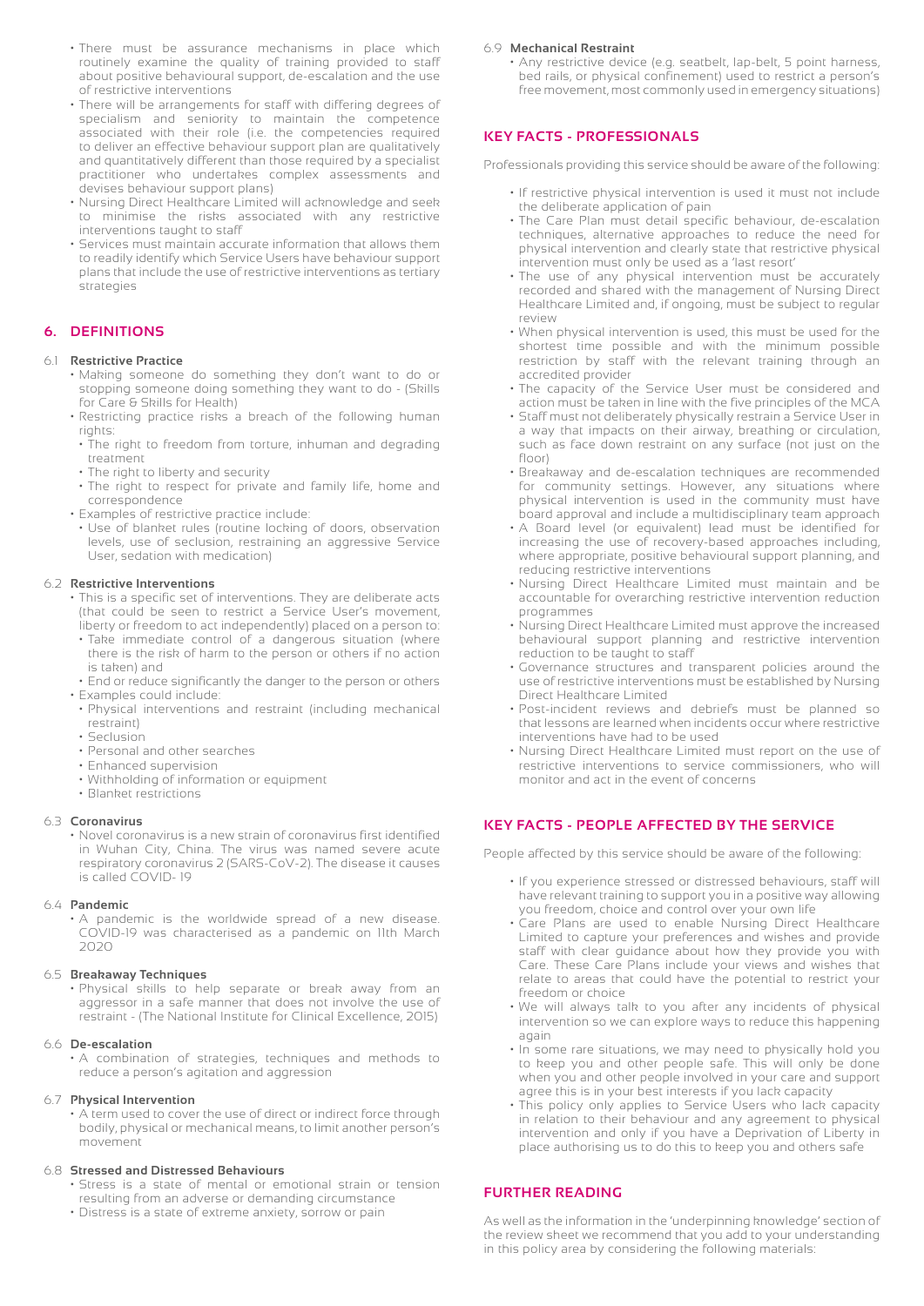- There must be assurance mechanisms in place which routinely examine the quality of training provided to staff about positive behavioural support, de-escalation and the use of restrictive interventions
- There will be arrangements for staff with differing degrees of specialism and seniority to maintain the competence associated with their role (i.e. the competencies required to deliver an effective behaviour support plan are qualitatively and quantitatively different than those required by a specialist practitioner who undertakes complex assessments and devises behaviour support plans)
- Nursing Direct Healthcare Limited will acknowledge and seek to minimise the risks associated with any restrictive interventions taught to staff
- Services must maintain accurate information that allows them to readily identify which Service Users have behaviour support plans that include the use of restrictive interventions as tertiary strategies

#### **6. DEFINITIONS**

#### 6.1 **Restrictive Practice**

- Making someone do something they don't want to do or stopping someone doing something they want to do - (Skills for Care & Skills for Health)
- Restricting practice risks a breach of the following human rights:
- The right to freedom from torture, inhuman and degrading treatment
- The right to liberty and security
- The right to respect for private and family life, home and correspondence
- Examples of restrictive practice include:
- Use of blanket rules (routine locking of doors, observation levels, use of seclusion, restraining an aggressive Service User, sedation with medication)

#### 6.2 **Restrictive Interventions**

- This is a specific set of interventions. They are deliberate acts (that could be seen to restrict a Service User's movement, liberty or freedom to act independently) placed on a person to:
- Take immediate control of a dangerous situation (where there is the risk of harm to the person or others if no action is taken) and
- End or reduce significantly the danger to the person or others • Examples could include:
- Physical interventions and restraint (including mechanical restraint)
- Seclusion
- Personal and other searches
- Enhanced supervision
- Withholding of information or equipment
- Blanket restrictions

#### 6.3 **Coronavirus**

 • Novel coronavirus is a new strain of coronavirus first identified in Wuhan City, China. The virus was named severe acute respiratory coronavirus 2 (SARS-CoV-2). The disease it causes is called COVID- 19

#### 6.4 **Pandemic**

 • A pandemic is the worldwide spread of a new disease. COVID-19 was characterised as a pandemic on 11th March 2020

#### 6.5 **Breakaway Techniques**

 • Physical skills to help separate or break away from an aggressor in a safe manner that does not involve the use of restraint - (The National Institute for Clinical Excellence, 2015)

#### 6.6 **De-escalation**

 • A combination of strategies, techniques and methods to reduce a person's agitation and aggression

#### 6.7 **Physical Intervention**

 • A term used to cover the use of direct or indirect force through bodily, physical or mechanical means, to limit another person's movement

#### 6.8 **Stressed and Distressed Behaviours**

- Stress is a state of mental or emotional strain or tension resulting from an adverse or demanding circumstance
- Distress is a state of extreme anxiety, sorrow or pain

#### 6.9 **Mechanical Restraint**

 • Any restrictive device (e.g. seatbelt, lap-belt, 5 point harness, bed rails, or physical confinement) used to restrict a person's free movement, most commonly used in emergency situations)

#### **KEY FACTS - PROFESSIONALS**

Professionals providing this service should be aware of the following:

- If restrictive physical intervention is used it must not include the deliberate application of pain
- The Care Plan must detail specific behaviour, de-escalation techniques, alternative approaches to reduce the need for physical intervention and clearly state that restrictive physical intervention must only be used as a 'last resort'
- The use of any physical intervention must be accurately recorded and shared with the management of Nursing Direct Healthcare Limited and, if ongoing, must be subject to regular review
- When physical intervention is used, this must be used for the shortest time possible and with the minimum possible restriction by staff with the relevant training through an accredited provider
- The capacity of the Service User must be considered and action must be taken in line with the five principles of the MCA
- Staff must not deliberately physically restrain a Service User in a way that impacts on their airway, breathing or circulation, such as face down restraint on any surface (not just on the floor)
- Breakaway and de-escalation techniques are recommended for community settings. However, any situations where physical intervention is used in the community must have board approval and include a multidisciplinary team approach
- A Board level (or equivalent) lead must be identified for increasing the use of recovery-based approaches including, where appropriate, positive behavioural support planning, and reducing restrictive interventions
- Nursing Direct Healthcare Limited must maintain and be accountable for overarching restrictive intervention reduction programmes
- Nursing Direct Healthcare Limited must approve the increased behavioural support planning and restrictive intervention reduction to be taught to staff
- Governance structures and transparent policies around the use of restrictive interventions must be established by Nursing Direct Healthcare Limited
- Post-incident reviews and debriefs must be planned so that lessons are learned when incidents occur where restrictive interventions have had to be used
- Nursing Direct Healthcare Limited must report on the use of restrictive interventions to service commissioners, who will monitor and act in the event of concerns

### **KEY FACTS - PEOPLE AFFECTED BY THE SERVICE**

People affected by this service should be aware of the following:

- If you experience stressed or distressed behaviours, staff will have relevant training to support you in a positive way allowing you freedom, choice and control over your own life
- Care Plans are used to enable Nursing Direct Healthcare Limited to capture your preferences and wishes and provide staff with clear guidance about how they provide you with Care. These Care Plans include your views and wishes that relate to areas that could have the potential to restrict your freedom or choice
- We will always talk to you after any incidents of physical intervention so we can explore ways to reduce this happening again
- In some rare situations, we may need to physically hold you to keep you and other people safe. This will only be done when you and other people involved in your care and support agree this is in your best interests if you lack capacity
- This policy only applies to Service Users who lack capacity in relation to their behaviour and any agreement to physical intervention and only if you have a Deprivation of Liberty in place authorising us to do this to keep you and others safe

#### **FURTHER READING**

As well as the information in the 'underpinning knowledge' section of the review sheet we recommend that you add to your understanding in this policy area by considering the following materials: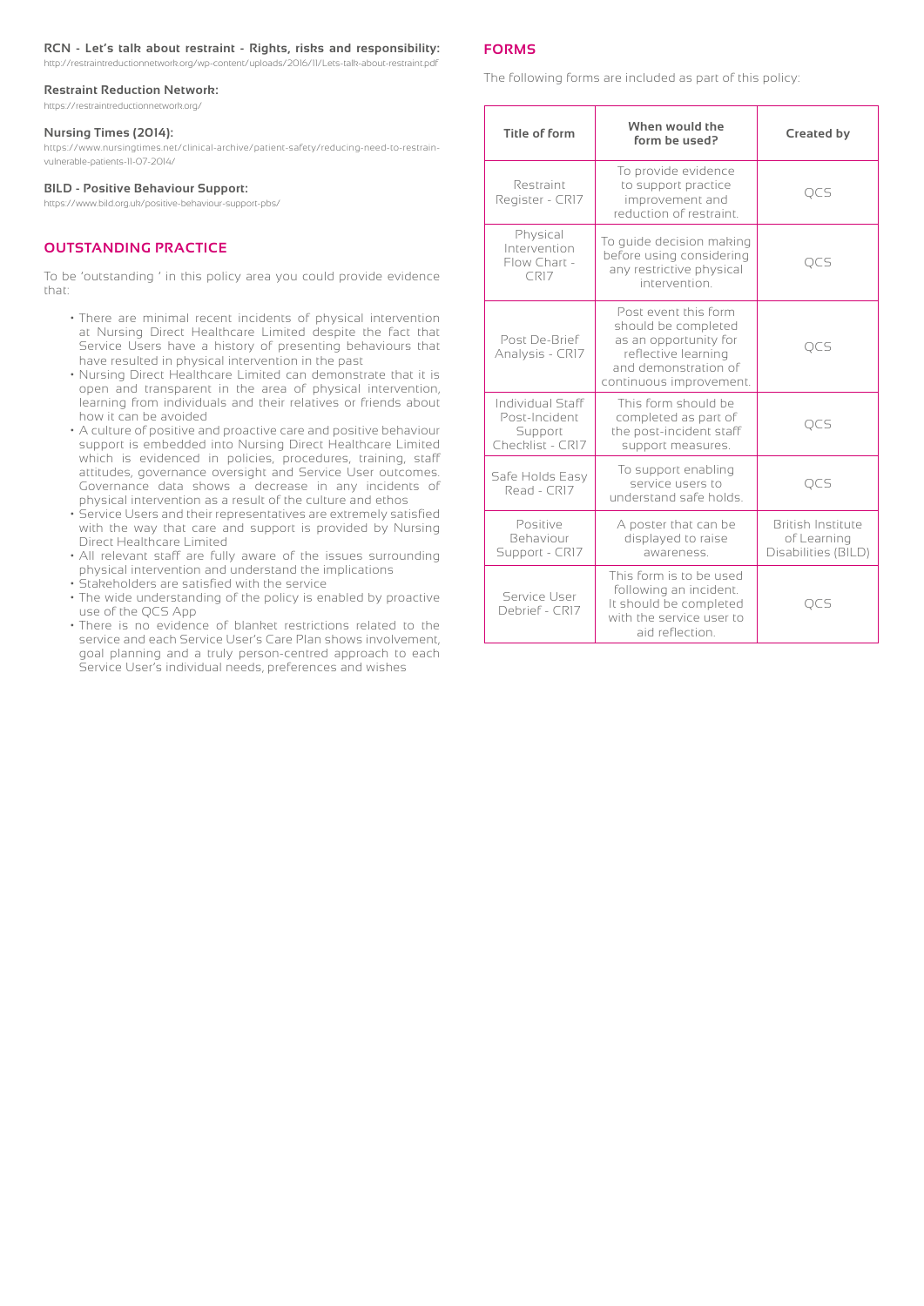#### **RCN - Let's talk about restraint - Rights, risks and responsibility:**

http://restraintreductionnetwork.org/wp-content/uploads/2016/11/Lets-talk-about-restraint.pdf

#### **Restraint Reduction Network:**

https://restraintreductionnetwork.org/

#### **Nursing Times (2014):**

https://www.nursingtimes.net/clinical-archive/patient-safety/reducing-need-to-restrainvulnerable-patients-11-07-2014/

#### **BILD - Positive Behaviour Support:**

https://www.bild.org.uk/positive-behaviour-support-pbs/

#### **OUTSTANDING PRACTICE**

To be 'outstanding ' in this policy area you could provide evidence that:

- There are minimal recent incidents of physical intervention at Nursing Direct Healthcare Limited despite the fact that Service Users have a history of presenting behaviours that have resulted in physical intervention in the past
- Nursing Direct Healthcare Limited can demonstrate that it is open and transparent in the area of physical intervention, learning from individuals and their relatives or friends about how it can be avoided
- A culture of positive and proactive care and positive behaviour support is embedded into Nursing Direct Healthcare Limited which is evidenced in policies, procedures, training, staff attitudes, governance oversight and Service User outcomes. Governance data shows a decrease in any incidents of physical intervention as a result of the culture and ethos
- Service Users and their representatives are extremely satisfied with the way that care and support is provided by Nursing Direct Healthcare Limited
- All relevant staff are fully aware of the issues surrounding physical intervention and understand the implications
- Stakeholders are satisfied with the service
- The wide understanding of the policy is enabled by proactive use of the QCS App
- There is no evidence of blanket restrictions related to the service and each Service User's Care Plan shows involvement, goal planning and a truly person-centred approach to each Service User's individual needs, preferences and wishes

#### **FORMS**

The following forms are included as part of this policy:

| Title of form                                                    | When would the<br>form be used?                                                                                                                | <b>Created by</b>                                              |
|------------------------------------------------------------------|------------------------------------------------------------------------------------------------------------------------------------------------|----------------------------------------------------------------|
| Restraint<br>Register - CRI7                                     | To provide evidence<br>to support practice<br>improvement and<br>reduction of restraint.                                                       | QCS                                                            |
| Physical<br>Intervention<br>Flow Chart -<br>CR17                 | To quide decision making<br>before using considering<br>any restrictive physical<br>intervention.                                              | <b>OCS</b>                                                     |
| Post De-Brief<br>Analysis - CR17                                 | Post event this form<br>should be completed<br>as an opportunity for<br>reflective learning<br>and demonstration of<br>continuous improvement. | <b>OCS</b>                                                     |
| Individual Staff<br>Post-Incident<br>Support<br>Checklist - CR17 | This form should be<br>completed as part of<br>the post-incident staff<br>support measures.                                                    | <b>OCS</b>                                                     |
| Safe Holds Easy<br>Read - CRIZ                                   | To support enabling<br>service users to<br>understand safe holds.                                                                              | QCS                                                            |
| Positive<br><b>Behaviour</b><br>Support - CRI7                   | A poster that can be<br>displayed to raise<br>awareness.                                                                                       | <b>British Institute</b><br>of Learning<br>Disabilities (BILD) |
| Service User<br>Debrief - CR17                                   | This form is to be used<br>following an incident.<br>It should be completed<br>with the service user to<br>aid reflection.                     |                                                                |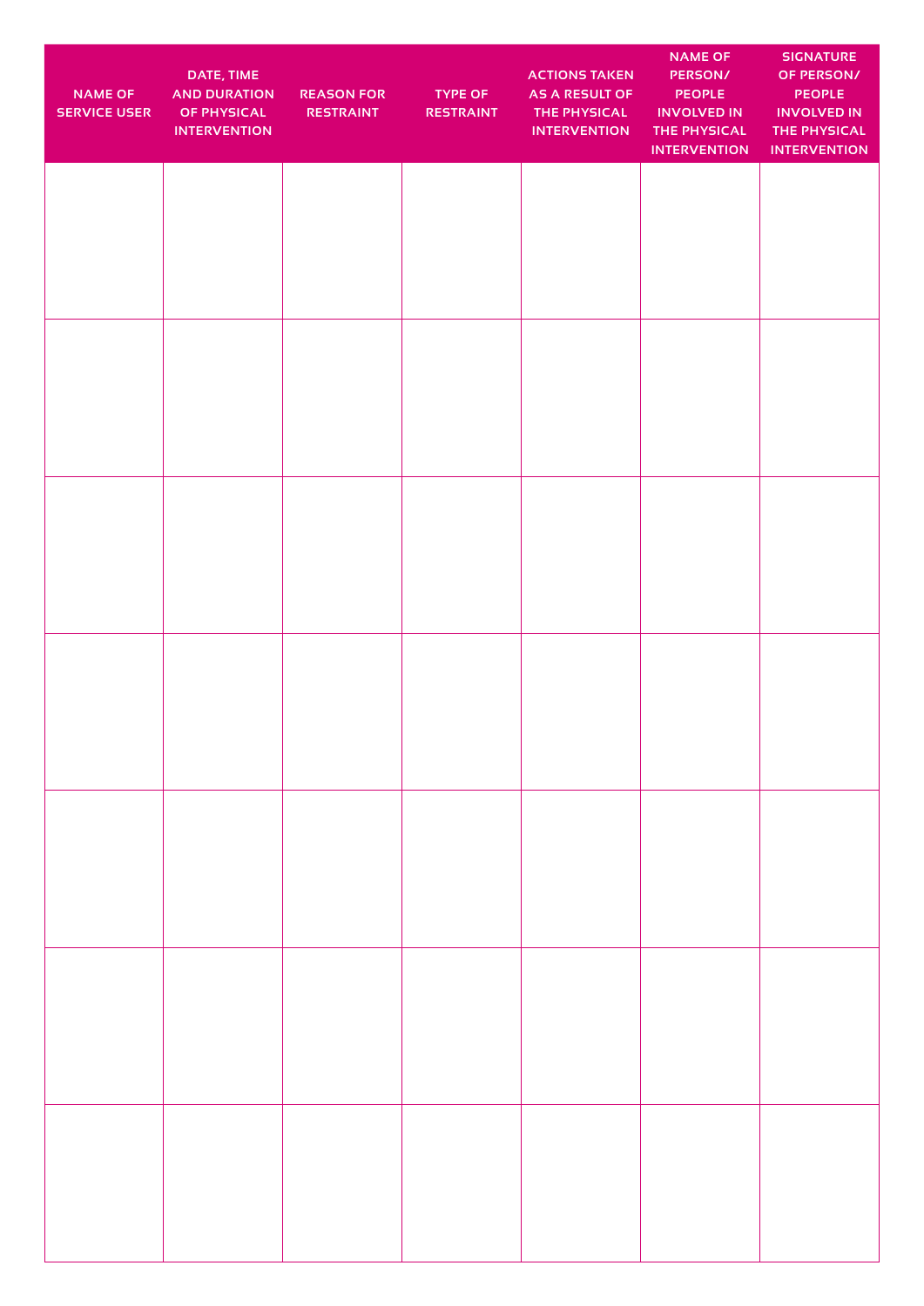| <b>NAME OF</b><br><b>SERVICE USER</b> | DATE, TIME<br><b>AND DURATION</b><br><b>OF PHYSICAL</b><br><b>INTERVENTION</b> | <b>REASON FOR</b><br><b>RESTRAINT</b> | <b>TYPE OF</b><br><b>RESTRAINT</b> | <b>ACTIONS TAKEN</b><br><b>AS A RESULT OF</b><br>THE PHYSICAL<br><b>INTERVENTION</b> | <b>NAME OF</b><br><b>PERSON/</b><br><b>PEOPLE</b><br><b>INVOLVED IN</b><br>THE PHYSICAL<br><b>INTERVENTION</b> | <b>SIGNATURE</b><br>OF PERSON/<br><b>PEOPLE</b><br><b>INVOLVED IN</b><br>THE PHYSICAL<br><b>INTERVENTION</b> |
|---------------------------------------|--------------------------------------------------------------------------------|---------------------------------------|------------------------------------|--------------------------------------------------------------------------------------|----------------------------------------------------------------------------------------------------------------|--------------------------------------------------------------------------------------------------------------|
|                                       |                                                                                |                                       |                                    |                                                                                      |                                                                                                                |                                                                                                              |
|                                       |                                                                                |                                       |                                    |                                                                                      |                                                                                                                |                                                                                                              |
|                                       |                                                                                |                                       |                                    |                                                                                      |                                                                                                                |                                                                                                              |
|                                       |                                                                                |                                       |                                    |                                                                                      |                                                                                                                |                                                                                                              |
|                                       |                                                                                |                                       |                                    |                                                                                      |                                                                                                                |                                                                                                              |
|                                       |                                                                                |                                       |                                    |                                                                                      |                                                                                                                |                                                                                                              |
|                                       |                                                                                |                                       |                                    |                                                                                      |                                                                                                                |                                                                                                              |
|                                       |                                                                                |                                       |                                    |                                                                                      |                                                                                                                |                                                                                                              |
|                                       |                                                                                |                                       |                                    |                                                                                      |                                                                                                                |                                                                                                              |
|                                       |                                                                                |                                       |                                    |                                                                                      |                                                                                                                |                                                                                                              |
|                                       |                                                                                |                                       |                                    |                                                                                      |                                                                                                                |                                                                                                              |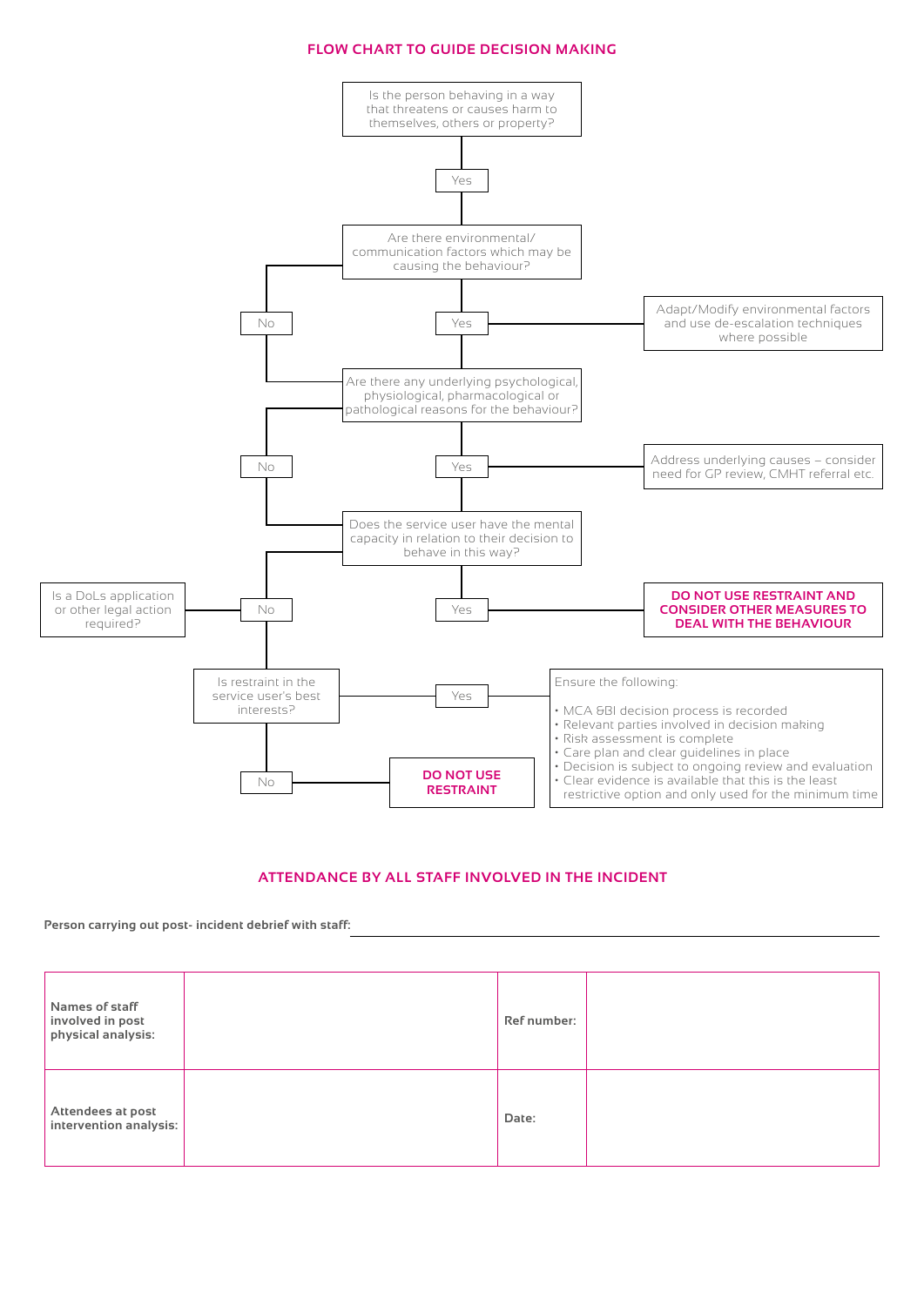### **FLOW CHART TO GUIDE DECISION MAKING**



# **ATTENDANCE BY ALL STAFF INVOLVED IN THE INCIDENT**

**Person carrying out post- incident debrief with staff:**

| Names of staff<br>involved in post<br>physical analysis: | Ref number: |  |
|----------------------------------------------------------|-------------|--|
| Attendees at post<br>intervention analysis:              | Date:       |  |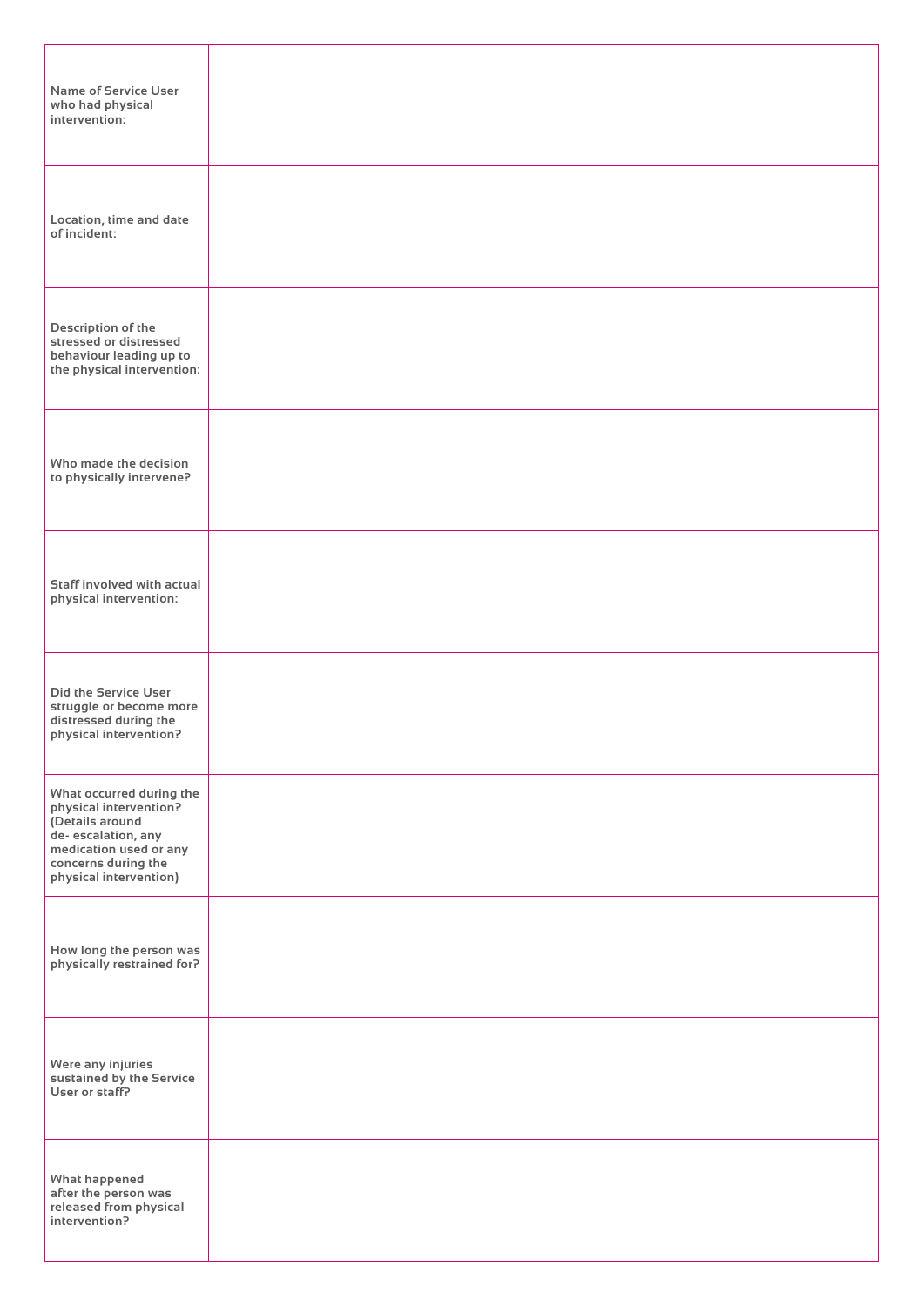| <b>Name of Service User</b><br>who had physical<br>intervention:                                                                                                        |  |
|-------------------------------------------------------------------------------------------------------------------------------------------------------------------------|--|
| Location, time and date<br>of incident:                                                                                                                                 |  |
| Description of the<br>stressed or distressed<br>behaviour leading up to<br>the physical intervention:                                                                   |  |
| Who made the decision<br>to physically intervene?                                                                                                                       |  |
| Staff involved with actual<br>physical intervention:                                                                                                                    |  |
| <b>Did the Service User</b><br>struggle or become more<br>distressed during the<br>physical intervention?                                                               |  |
| What occurred during the<br>physical intervention?<br>(Details around<br>de- escalation, any<br>medication used or any<br>concerns during the<br>physical intervention) |  |
| How long the person was<br>physically restrained for?                                                                                                                   |  |
| Were any injuries<br>sustained by the Service<br>User or staff?                                                                                                         |  |
| <b>What happened</b><br>after the person was<br>released from physical<br>intervention?                                                                                 |  |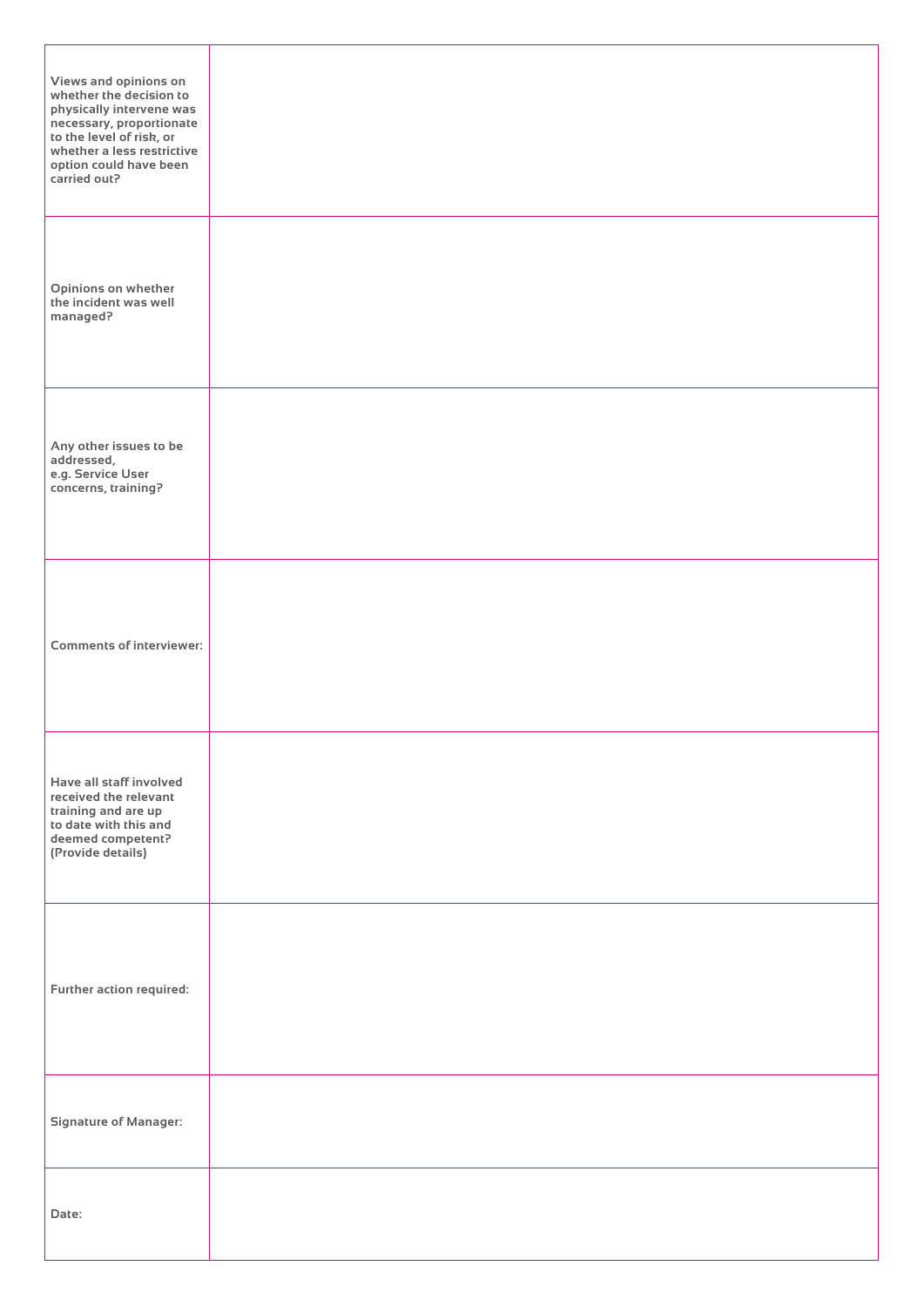| Views and opinions on<br>whether the decision to<br>physically intervene was<br>necessary, proportionate<br>to the level of risk, or<br>whether a less restrictive<br>option could have been<br>carried out? |  |
|--------------------------------------------------------------------------------------------------------------------------------------------------------------------------------------------------------------|--|
| Opinions on whether<br>the incident was well<br>managed?                                                                                                                                                     |  |
| Any other issues to be<br>addressed,<br>e.g. Service User<br>concerns, training?                                                                                                                             |  |
| <b>Comments of interviewer:</b>                                                                                                                                                                              |  |
| Have all staff involved<br>received the relevant<br>training and are up<br>to date with this and<br>deemed competent?<br>(Provide details)                                                                   |  |
| Further action required:                                                                                                                                                                                     |  |
| <b>Signature of Manager:</b>                                                                                                                                                                                 |  |
| Date:                                                                                                                                                                                                        |  |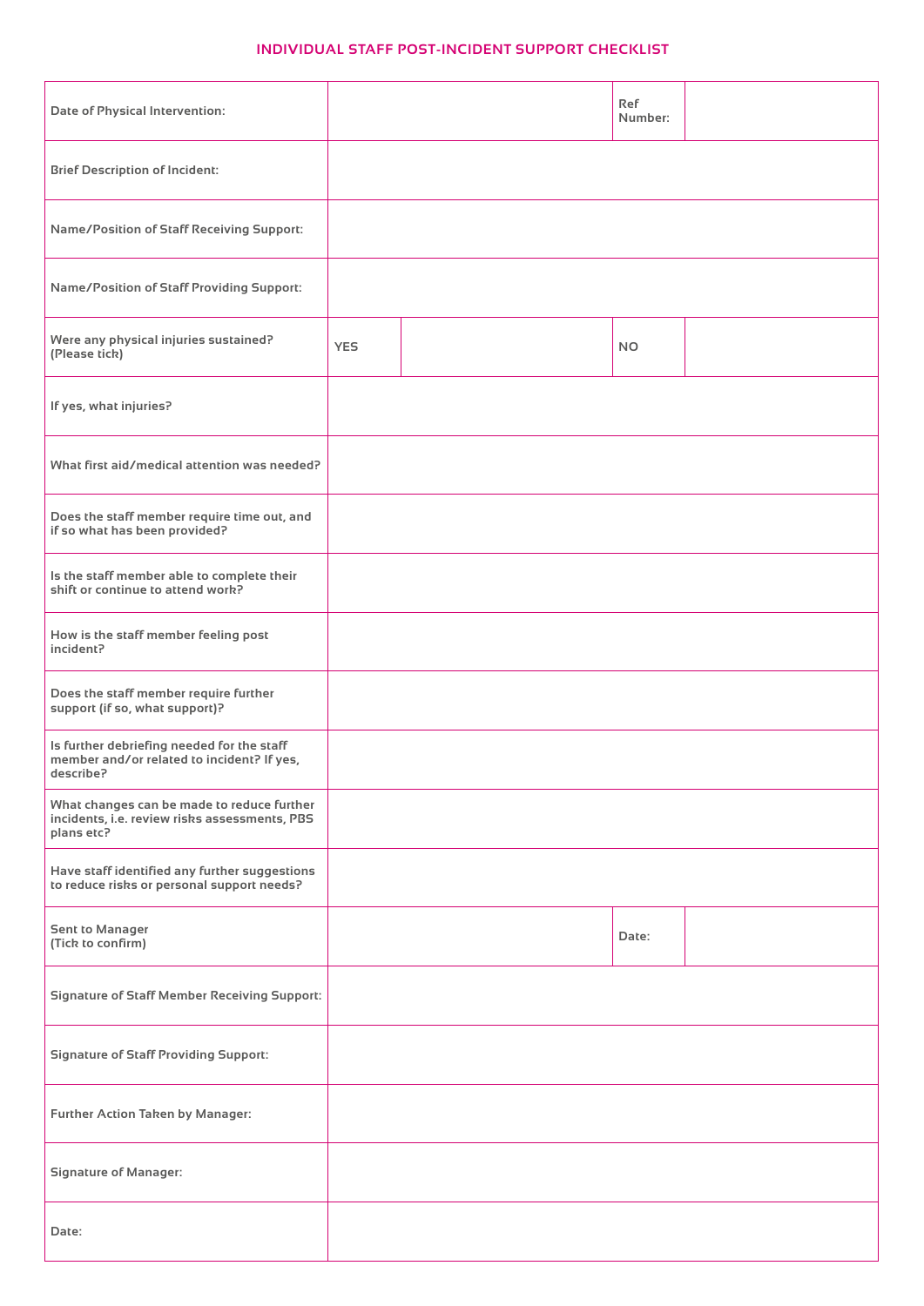# **INDIVIDUAL STAFF POST-INCIDENT SUPPORT CHECKLIST**

| <b>Date of Physical Intervention:</b>                                                                     |            | <b>Ref</b><br>Number: |  |
|-----------------------------------------------------------------------------------------------------------|------------|-----------------------|--|
| <b>Brief Description of Incident:</b>                                                                     |            |                       |  |
| <b>Name/Position of Staff Receiving Support:</b>                                                          |            |                       |  |
| <b>Name/Position of Staff Providing Support:</b>                                                          |            |                       |  |
| Were any physical injuries sustained?<br>(Please tick)                                                    | <b>YES</b> | <b>NO</b>             |  |
| If yes, what injuries?                                                                                    |            |                       |  |
| What first aid/medical attention was needed?                                                              |            |                       |  |
| Does the staff member require time out, and<br>if so what has been provided?                              |            |                       |  |
| Is the staff member able to complete their<br>shift or continue to attend work?                           |            |                       |  |
| How is the staff member feeling post<br>incident?                                                         |            |                       |  |
| Does the staff member require further<br>support (if so, what support)?                                   |            |                       |  |
| Is further debriefing needed for the staff<br>member and/or related to incident? If yes,<br>describe?     |            |                       |  |
| What changes can be made to reduce further<br>incidents, i.e. review risks assessments, PBS<br>plans etc? |            |                       |  |
| Have staff identified any further suggestions<br>to reduce risks or personal support needs?               |            |                       |  |
| <b>Sent to Manager</b><br>(Tick to confirm)                                                               |            | Date:                 |  |
| <b>Signature of Staff Member Receiving Support:</b>                                                       |            |                       |  |
| <b>Signature of Staff Providing Support:</b>                                                              |            |                       |  |
| Further Action Taken by Manager:                                                                          |            |                       |  |
| <b>Signature of Manager:</b>                                                                              |            |                       |  |
| Date:                                                                                                     |            |                       |  |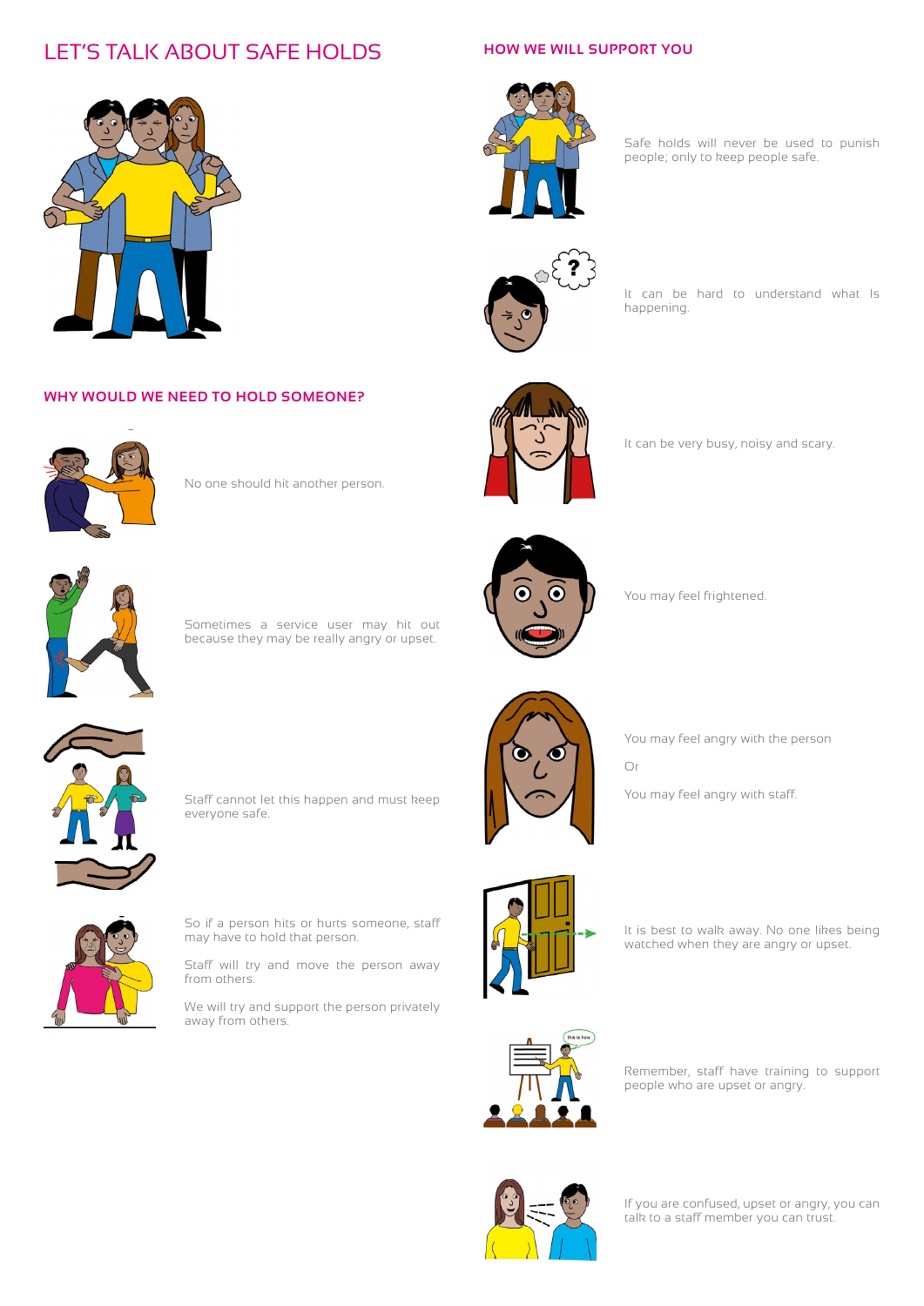# LET'S TALK ABOUT SAFE HOLDS



# **WHY WOULD WE NEED TO HOLD SOMEONE?**



No one should hit another person.



Sometimes a service user may hit out because they may be really angry or upset.



You may feel frightened.

happening.



You may feel angry with staff. Staff cannot let this happen and must keep everyone safe.



You may feel angry with the person Or



So if a person hits or hurts someone, staff may have to hold that person.

Staff will try and move the person away from others.

We will try and support the person privately away from others.



It is best to walk away. No one likes being watched when they are angry or upset.



Remember, staff have training to support people who are upset or angry.



If you are confused, upset or angry, you can talk to a staff member you can trust.

# **HOW WE WILL SUPPORT YOU**



Safe holds will never be used to punish people; only to keep people safe.

It can be hard to understand what Is



It can be very busy, noisy and scary.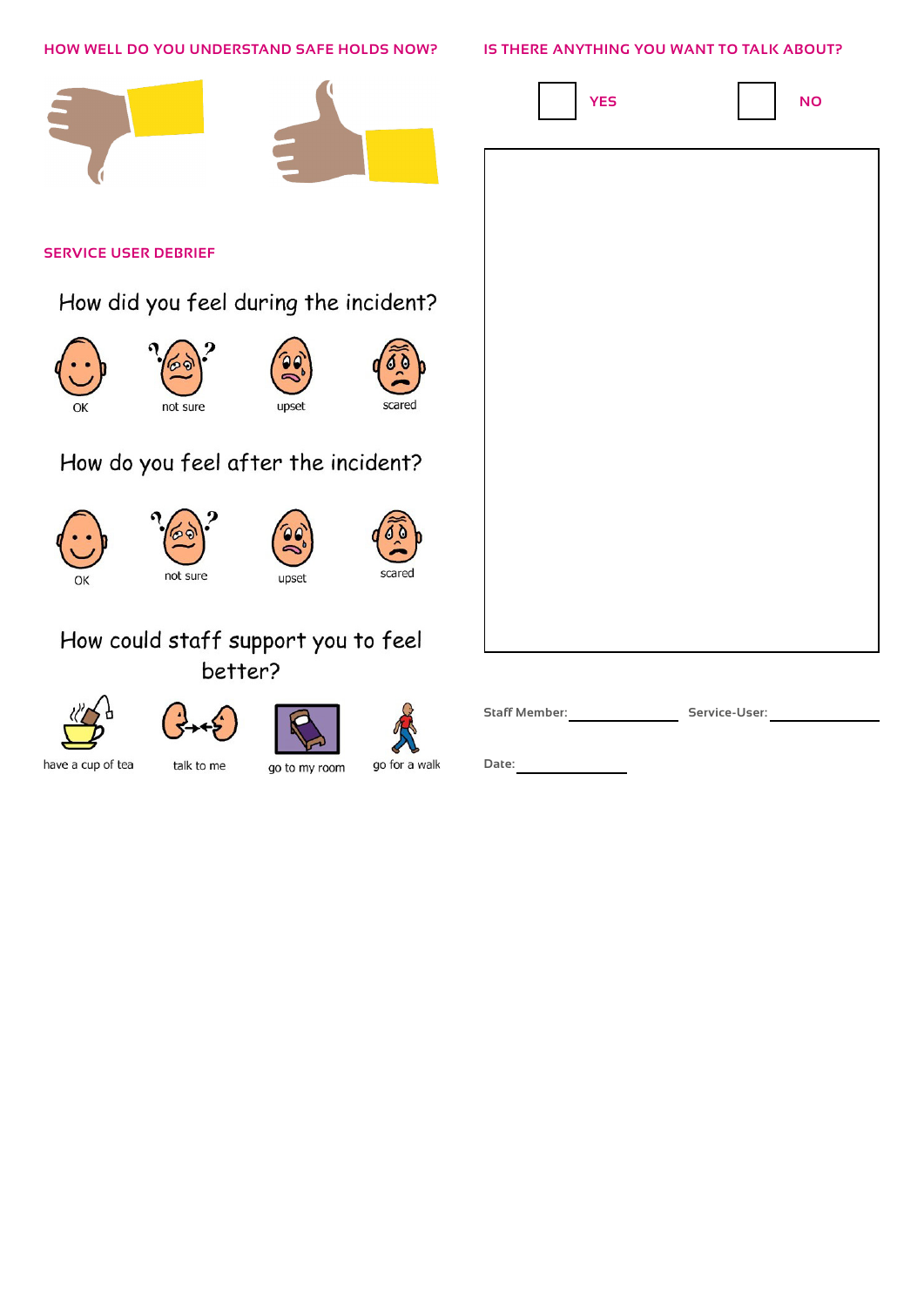| HOW WELL DO YOU UNDERSTAND SAFE HOLDS NOW? |                                       |               |               | IS THERE ANYTHING YOU WANT TO TALK ABOUT? |               |
|--------------------------------------------|---------------------------------------|---------------|---------------|-------------------------------------------|---------------|
|                                            |                                       |               |               | <b>YES</b>                                | <b>NO</b>     |
| <b>SERVICE USER DEBRIEF</b>                |                                       |               |               |                                           |               |
|                                            | How did you feel during the incident? |               |               |                                           |               |
| ОК                                         | not sure                              | upset         | scared        |                                           |               |
|                                            | How do you feel after the incident?   |               |               |                                           |               |
| OK                                         | not sure                              | 96<br>upset   | scared        |                                           |               |
|                                            | How could staff support you to feel   |               |               |                                           |               |
|                                            | better?                               |               |               |                                           |               |
|                                            |                                       |               |               | <b>Staff Member:</b>                      | Service-User: |
| have a cup of tea                          | talk to me                            | go to my room | go for a walk | Date:                                     |               |